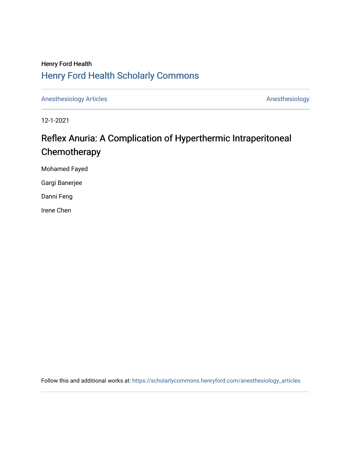# Henry Ford Health [Henry Ford Health Scholarly Commons](https://scholarlycommons.henryford.com/)

[Anesthesiology Articles](https://scholarlycommons.henryford.com/anesthesiology_articles) [Anesthesiology](https://scholarlycommons.henryford.com/anesthesiology) Articles

12-1-2021

# Reflex Anuria: A Complication of Hyperthermic Intraperitoneal **Chemotherapy**

Mohamed Fayed

Gargi Banerjee

Danni Feng

Irene Chen

Follow this and additional works at: [https://scholarlycommons.henryford.com/anesthesiology\\_articles](https://scholarlycommons.henryford.com/anesthesiology_articles?utm_source=scholarlycommons.henryford.com%2Fanesthesiology_articles%2F130&utm_medium=PDF&utm_campaign=PDFCoverPages)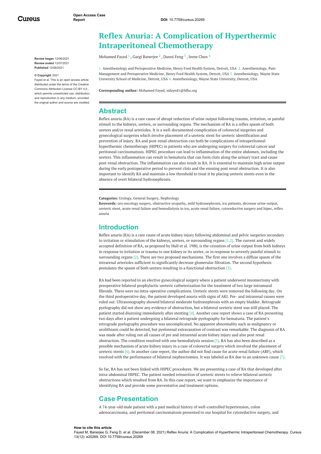Cureus

**Review began** 12/06/2021 **Review ended** 12/07/2021 **Published** 12/08/2021

#### **© Copyright** 2021

Fayed et al. This is an open access article distributed under the terms of the Creative Commons Attribution License CC-BY 4.0., which permits unrestricted use, distribution, and reproduction in any medium, provided the original author and source are credited.

## **Reflex Anuria: A Complication of Hyperthermic Intraperitoneal Chemotherapy**

[Mohamed](https://www.cureus.com/users/290565-mohamed-fayed) Fayed  $^1$  , Gargi [Banerjee](https://www.cureus.com/users/304711-gargi-banerjee)  $^2$  , [Danni](https://www.cureus.com/users/296390-danni-feng) Feng  $^3$  , Irene [Chen](https://www.cureus.com/users/296391-irene-chen)  $^4$ 

1. Anesthesiology and Perioperative Medicine, Henry Ford Health System, Detroit, USA 2. Anesthesiology, Pain Management and Perioperative Medicine, Henry Ford Health System, Detroit, USA 3. Anesthesiology, Wayne State University School of Medicine, Detroit, USA 4. Anesthesiology, Wayne State University, Detroit, USA

**Corresponding author:** Mohamed Fayed, mfayed1@hfhs.org

### **Abstract**

<span id="page-1-0"></span>Reflex anuria (RA) is a rare cause of abrupt reduction of urine output following trauma, irritation, or painful stimuli to the kidneys, ureters, or surrounding organs. The mechanism of RA is a reflex spasm of both ureters and/or renal arterioles. It is a well-documented complication of colorectal surgeries and gynecological surgeries which involve placement of a ureteric stent for ureteric identification and prevention of injury. RA and post-renal obstruction can both be complications of intraperitoneal hyperthermic chemotherapy (HIPEC) in patients who are undergoing surgery for colorectal cancer and peritoneal carcinomatosis. HIPEC procedure can lead to inflammation of the entire abdomen, including the ureters. This inflammation can result in hematuria that can form clots along the urinary tract and cause post-renal obstruction. The inflammation can also result in RA. It is essential to maintain high urine output during the early postoperative period to prevent clots and the ensuing post renal obstruction. It is also important to identify RA and maintain a low threshold to treat it by placing ureteric stents even in the absence of overt bilateral hydronephrosis.

**Categories:** Urology, General Surgery, Nephrology

**Keywords:** uro oncology surgery, obstructive uropathy, mild hydronephrosis, icu patients, decrease urine output, ureteric stent, acute renal failure and hemodialysis in icu, acute renal failure, cytoreductive surgery and hipec, reflex anuria

### **Introduction**

Reflex anuria (RA) is a rare cause of acute kidney injury following abdominal and pelvic surgeries secondary to irritation or stimulation of the kidneys, ureters, or surrounding organs  $[1,2]$ . The current and widely accepted definition of RA, as proposed by Hull et al. 1980, is the cessation of urine output from both kidneys in response to irritation or trauma to one kidney or its ureter, or in response to severely painful stimuli to surrounding organs [2]. There are two proposed mechanisms. The first one involves a diffuse spasm of the intrarenal arterioles sufficient to significantly decrease glomerular filtration. The second hypothesis postulates the spasm of both ureters resulting in a functional obstruction [3].

<span id="page-1-1"></span>RA had been reported in an elective gynecological surgery where a patient underwent myomectomy with preoperative bilateral prophylactic ureteric catheterization for the treatment of two large intramural fibroids. There were no intra-operative complications. Ureteric stents were removed the following day. On the third postoperative day, the patient developed anuria with signs of AKI. Pre- and intrarenal causes were ruled out. Ultrasonography showed bilateral moderate hydronephrosis with an empty bladder. Retrograde pyelography did not show any evidence of obstruction, but a bilateral ureteric stent was still placed. The patient started diuresing immediately after stenting [4]. Another case report shows a case of RA presenting two days after a patient undergoing a bilateral retrograde pyelography for hematuria. The patient's retrograde pyelography procedure was uncomplicated. No apparent abnormality such as malignancy or urolithiasis could be detected, but pyelorenal extravasation of contrast was remarkable. The diagnosis of RA was made after ruling out all causes of pre and intrarenal acute kidney injury and also post renal obstruction. The condition resolved with one hemodialysis session [5]. RA has also been described as a possible mechanism of acute kidney injury in a case of colorectal surgery which involved the placement of ureteric stents [6]. In another case report, the author did not find cause for acute renal failure (ARF), which resolved with the performance of bilateral nephrectomies. It was labeled as RA due to an unknown cause [7].

So far, RA has not been linked with HIPEC procedures. We are presenting a case of RA that developed after intra-abdominal HIPEC. The patient needed reinsertion of ureteric stents to relieve bilateral ureteric obstructions which resulted from RA. In this case report, we want to emphasize the importance of identifying RA and provide some preventative and treatment options.

### **Case Presentation**

A 74-year-old male patient with a past medical history of well-controlled hypertension, colon adenocarcinoma, and peritoneal carcinomatosis presented to our hospital for cytoreductive surgery, and

#### **How to cite this article**

Fayed M, Banerjee G, Feng D, et al. (December 08, 2021) Reflex Anuria: A Complication of Hyperthermic Intraperitoneal Chemotherapy. Cureus 13(12): e20269. DOI 10.7759/cureus.20269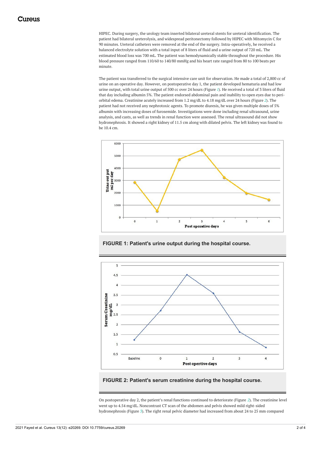HIPEC. During surgery, the urology team inserted bilateral ureteral stents for ureteral identification. The patient had bilateral ureterolysis, and widespread peritonectomy followed by HIPEC with Mitomycin C for 90 minutes. Ureteral catheters were removed at the end of the surgery. Intra-operatively, he received a balanced electrolyte solution with a total input of 8 liters of fluid and a urine output of 720 mL. The estimated blood loss was 700 mL. The patient was hemodynamically stable throughout the procedure. His blood pressure ranged from 110/60 to 140/80 mmHg and his heart rate ranged from 80 to 100 beats per minute.

<span id="page-2-0"></span>The patient was transferred to the surgical intensive care unit for observation. He made a total of 2,800 cc of urine on an operative day. However, on postoperative day 1, the patient developed hematuria and had low urine output, with total urine output of 500 cc over 24 hours (Figure *[1](#page-1-0)*). He received a total of 3 liters of fluid that day including albumin 5%. The patient endorsed abdominal pain and inability to open eyes due to periorbital edema. Creatinine acutely increased from 1.2 mg/dL to 4.18 mg/dL over 24 hours (Figure *[2](#page-1-1)*). The patient had not received any nephrotoxic agents. To promote diuresis, he was given multiple doses of 5% albumin with increasing doses of furosemide. Investigations were done including renal ultrasound, urine analysis, and casts, as well as trends in renal function were assessed. The renal ultrasound did not show hydronephrosis. It showed a right kidney of 11.5 cm along with dilated pelvis. The left kidney was found to be 10.4 cm.



**FIGURE 1: Patient's urine output during the hospital course.**



**FIGURE 2: Patient's serum creatinine during the hospital course.**

On postoperative day 2, the patient's renal functions continued to deteriorate (Figure *[2](#page-1-1)*). The creatinine level went up to 4.54 mg/dL. Noncontrast CT scan of the abdomen and pelvis showed mild right-sided hydronephrosis (Figure *[3](#page-2-0)*). The right renal pelvic diameter had increased from about 24 to 25 mm compared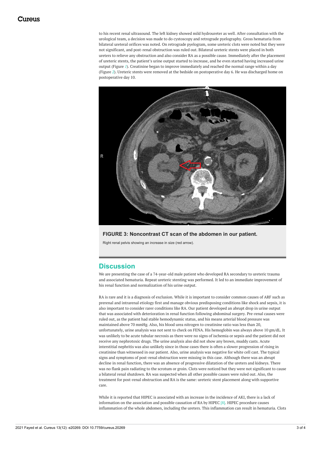to his recent renal ultrasound. The left kidney showed mild hydroureter as well. After consultation with the urological team, a decision was made to do cystoscopy and retrograde pyelography. Gross hematuria from bilateral ureteral orifices was noted. On retrograde pyelogram, some ureteric clots were noted but they were not significant, and post-renal obstruction was ruled out. Bilateral ureteric stents were placed in both ureters to relieve any obstruction and also consider RA as a possible cause. Immediately after the placement of ureteric stents, the patient's urine output started to increase, and he even started having increased urine output (Figure *[1](#page-1-0)*). Creatinine began to improve immediately and reached the normal range within a day (Figure *[2](#page-1-1)*). Ureteric stents were removed at the bedside on postoperative day 6. He was discharged home on postoperative day 10.



### **FIGURE 3: Noncontrast CT scan of the abdomen in our patient.**

Right renal pelvis showing an increase in size (red arrow).

### **Discussion**

We are presenting the case of a 74-year-old male patient who developed RA secondary to ureteric trauma and associated hematuria. Repeat ureteric stenting was performed. It led to an immediate improvement of his renal function and normalization of his urine output.

RA is rare and it is a diagnosis of exclusion. While it is important to consider common causes of ARF such as prerenal and intrarenal etiology first and manage obvious predisposing conditions like shock and sepsis, it is also important to consider rarer conditions like RA. Our patient developed an abrupt drop in urine output that was associated with deterioration in renal function following abdominal surgery. Pre-renal causes were ruled out, as the patient had stable hemodynamic status, and his means arterial blood pressure was maintained above 70 mmHg. Also, his blood urea nitrogen to creatinine ratio was less than 20, unfortunately, urine analysis was not sent to check on FENA. His hemoglobin was always above 10 gm/dL. It was unlikely to be acute tubular necrosis as there were no signs of ischemia or sepsis and the patient did not receive any nephrotoxic drugs. The urine analysis also did not show any brown, muddy casts. Acute interstitial nephritis was also unlikely since in those cases there is often a slower progression of rising in creatinine than witnessed in our patient. Also, urine analysis was negative for white cell cast. The typical signs and symptoms of post-renal obstruction were missing in this case. Although there was an abrupt decline in renal function, there was an absence of progressive dilatation of the ureters and kidneys. There was no flank pain radiating to the scrotum or groin. Clots were noticed but they were not significant to cause a bilateral renal shutdown. RA was suspected when all other possible causes were ruled out. Also, the treatment for post-renal obstruction and RA is the same: ureteric stent placement along with supportive care.

While it is reported that HIPEC is associated with an increase in the incidence of AKI, there is a lack of information on the association and possible causation of RA by HIPEC [8]. HIPEC procedure causes inflammation of the whole abdomen, including the ureters. This inflammation can result in hematuria. Clots